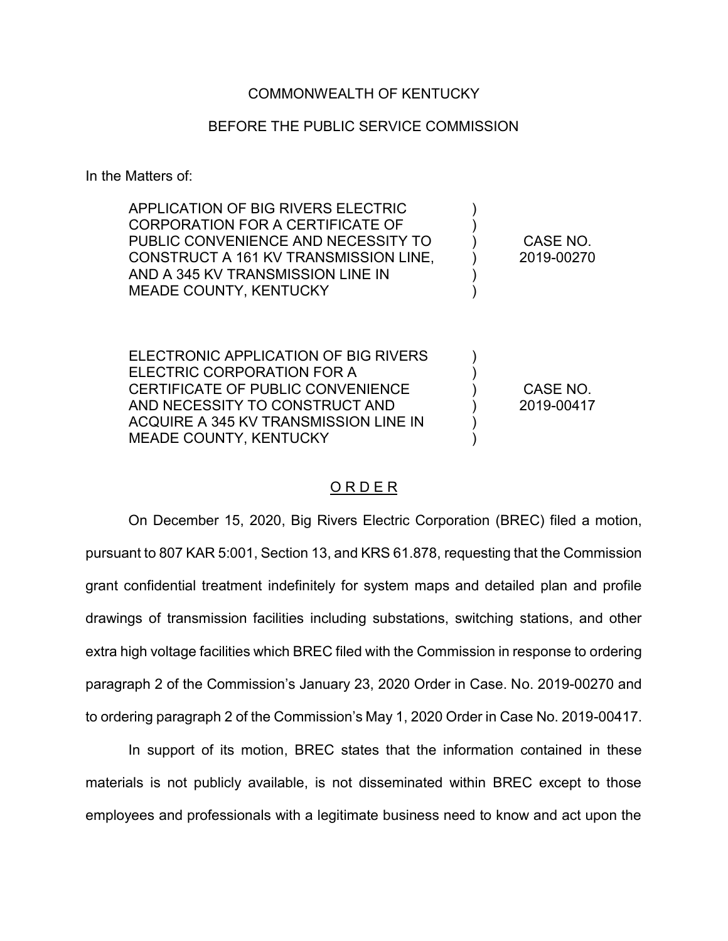## COMMONWEALTH OF KENTUCKY

## BEFORE THE PUBLIC SERVICE COMMISSION

In the Matters of:

| APPLICATION OF BIG RIVERS ELECTRIC<br>CORPORATION FOR A CERTIFICATE OF<br>PUBLIC CONVENIENCE AND NECESSITY TO<br>CONSTRUCT A 161 KV TRANSMISSION LINE.<br>AND A 345 KV TRANSMISSION LINE IN<br><b>MEADE COUNTY, KENTUCKY</b> | CASE NO.<br>2019-00270 |
|------------------------------------------------------------------------------------------------------------------------------------------------------------------------------------------------------------------------------|------------------------|
| ELECTRONIC APPLICATION OF BIG RIVERS<br>ELECTRIC CORPORATION FOR A<br>CERTIFICATE OF PUBLIC CONVENIENCE<br>AND NECESSITY TO CONSTRUCT AND<br>ACQUIRE A 345 KV TRANSMISSION LINE IN<br><b>MEADE COUNTY, KENTUCKY</b>          | CASE NO.<br>2019-00417 |

## <u>ORDER</u>

On December 15, 2020, Big Rivers Electric Corporation (BREC) filed a motion, pursuant to 807 KAR 5:001, Section 13, and KRS 61.878, requesting that the Commission grant confidential treatment indefinitely for system maps and detailed plan and profile drawings of transmission facilities including substations, switching stations, and other extra high voltage facilities which BREC filed with the Commission in response to ordering paragraph 2 of the Commission's January 23, 2020 Order in Case. No. 2019-00270 and to ordering paragraph 2 of the Commission's May 1, 2020 Order in Case No. 2019-00417.

In support of its motion, BREC states that the information contained in these materials is not publicly available, is not disseminated within BREC except to those employees and professionals with a legitimate business need to know and act upon the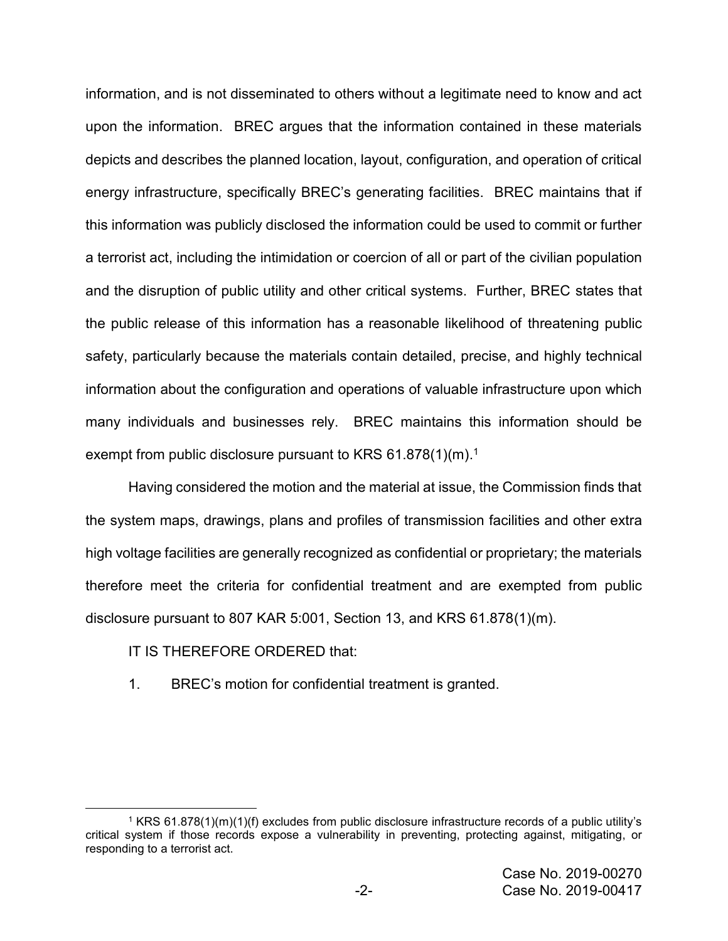information, and is not disseminated to others without a legitimate need to know and act upon the information. BREC argues that the information contained in these materials depicts and describes the planned location, layout, configuration, and operation of critical energy infrastructure, specifically BREC's generating facilities. BREC maintains that if this information was publicly disclosed the information could be used to commit or further a terrorist act, including the intimidation or coercion of all or part of the civilian population and the disruption of public utility and other critical systems. Further, BREC states that the public release of this information has a reasonable likelihood of threatening public safety, particularly because the materials contain detailed, precise, and highly technical information about the configuration and operations of valuable infrastructure upon which many individuals and businesses rely. BREC maintains this information should be exempt from public disclosure pursuant to KRS 61.878(1)(m).<sup>1</sup>

Having considered the motion and the material at issue, the Commission finds that the system maps, drawings, plans and profiles of transmission facilities and other extra high voltage facilities are generally recognized as confidential or proprietary; the materials therefore meet the criteria for confidential treatment and are exempted from public disclosure pursuant to 807 KAR 5:001, Section 13, and KRS 61.878(1)(m).

## IT IS THEREFORE ORDERED that:

 $\overline{\phantom{a}}$ 

1. BREC's motion for confidential treatment is granted.

<sup>1</sup> KRS 61.878(1)(m)(1)(f) excludes from public disclosure infrastructure records of a public utility's critical system if those records expose a vulnerability in preventing, protecting against, mitigating, or responding to a terrorist act.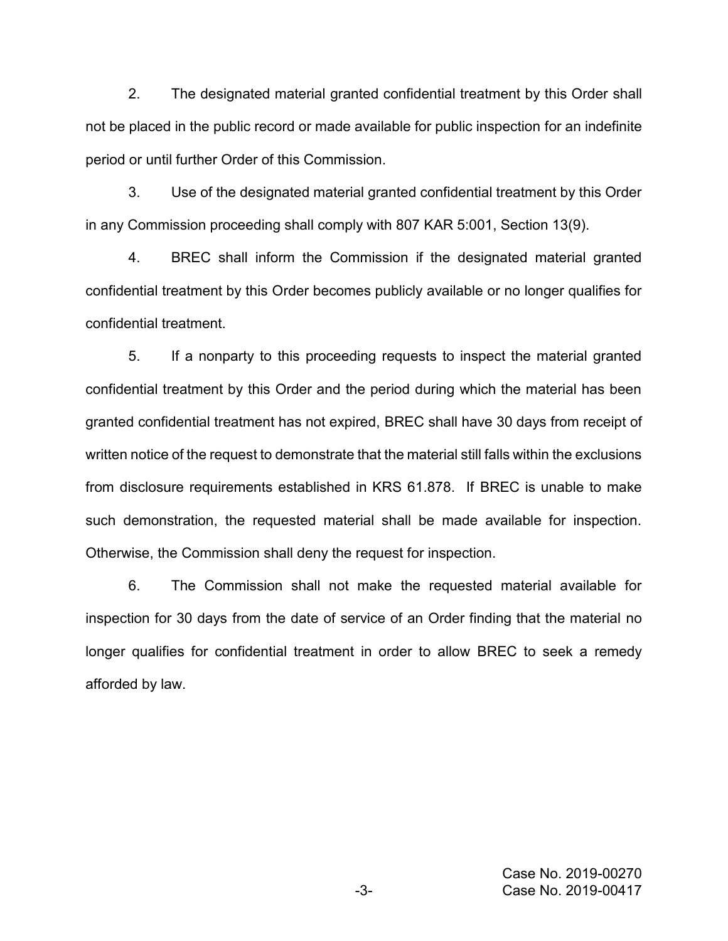2. The designated material granted confidential treatment by this Order shall not be placed in the public record or made available for public inspection for an indefinite period or until further Order of this Commission.

3. Use of the designated material granted confidential treatment by this Order in any Commission proceeding shall comply with 807 KAR 5:001, Section 13(9).

4. BREC shall inform the Commission if the designated material granted confidential treatment by this Order becomes publicly available or no longer qualifies for confidential treatment.

5. If a nonparty to this proceeding requests to inspect the material granted confidential treatment by this Order and the period during which the material has been granted confidential treatment has not expired, BREC shall have 30 days from receipt of written notice of the request to demonstrate that the material still falls within the exclusions from disclosure requirements established in KRS 61.878. If BREC is unable to make such demonstration, the requested material shall be made available for inspection. Otherwise, the Commission shall deny the request for inspection.

6. The Commission shall not make the requested material available for inspection for 30 days from the date of service of an Order finding that the material no longer qualifies for confidential treatment in order to allow BREC to seek a remedy afforded by law.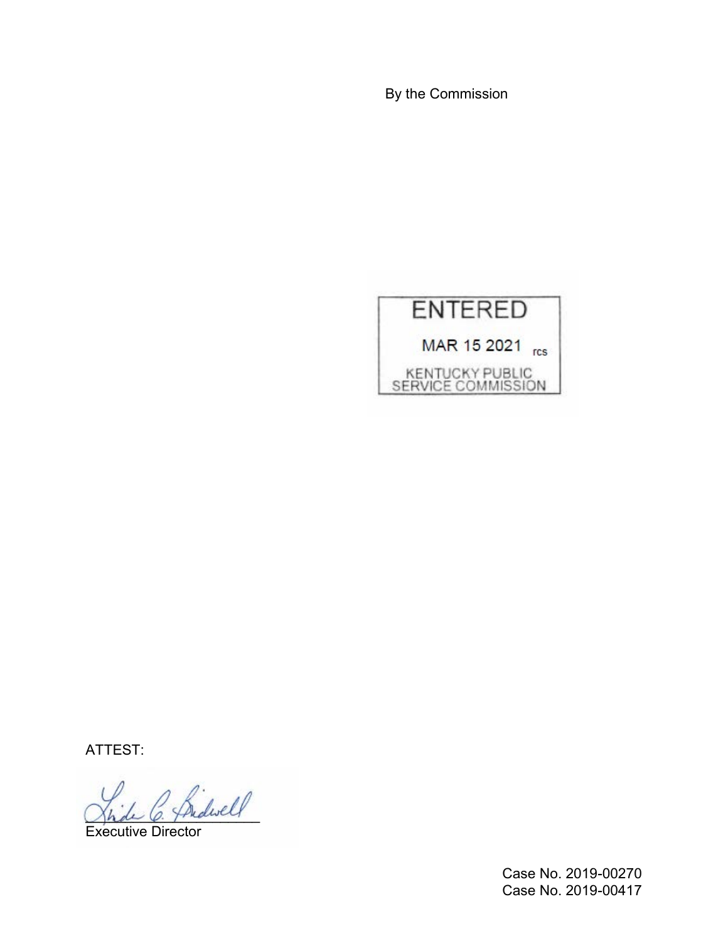By the Commission



ATTEST:

 $\ell$ 

Executive Director

Case No. 2019-00270 Case No. 2019-00417